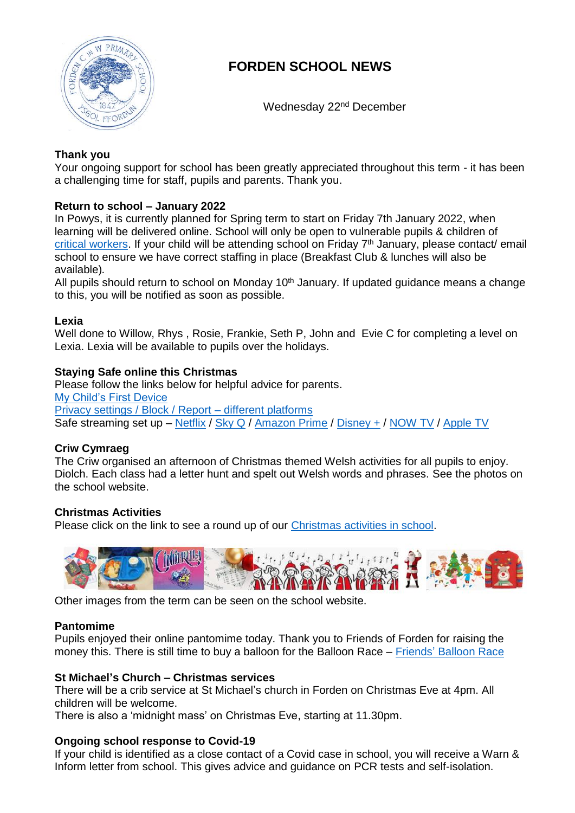

# **FORDEN SCHOOL NEWS**

Wednesday 22<sup>nd</sup> December

# **Thank you**

Your ongoing support for school has been greatly appreciated throughout this term - it has been a challenging time for staff, pupils and parents. Thank you.

## **Return to school – January 2022**

In Powys, it is currently planned for Spring term to start on Friday 7th January 2022, when learning will be delivered online. School will only be open to vulnerable pupils & children of [critical workers.](https://gov.wales/identifying-children-critical-workers-guidance) If your child will be attending school on Friday 7<sup>th</sup> January, please contact/ email school to ensure we have correct staffing in place (Breakfast Club & lunches will also be available)*.*

All pupils should return to school on Monday 10<sup>th</sup> January. If updated guidance means a change to this, you will be notified as soon as possible.

## **Lexia**

Well done to Willow, Rhys , Rosie, Frankie, Seth P, John and Evie C for completing a level on Lexia. Lexia will be available to pupils over the holidays.

## **Staying Safe online this Christmas**

Please follow the links below for helpful advice for parents. [My Child's First Device](file:///C:/Users/FowlerC11/OneDrive%20-%20Hwb/Documents%20-%20Forden%20School/IT/Info%20for%20parents/mychildsfirstdevice.pdf) [Privacy settings / Block / Report –](file:///C:/Users/FowlerC11/OneDrive%20-%20Hwb/Documents%20-%20Forden%20School/IT/Info%20for%20parents/Safetycards_Christmas_2021.pdf) different platforms Safe streaming set up – [Netflix](https://ineqe.com/wp-content/uploads/2021/12/Netflix_streamsafe_2021.pdf) / [Sky Q](https://ineqe.com/wp-content/uploads/2021/12/Sky_Q_streamsafe_2021.pdf) / [Amazon Prime](https://ineqe.com/wp-content/uploads/2021/12/Amazon_Prime_streamsafe_2021.pdf) / [Disney +](https://ineqe.com/wp-content/uploads/2021/12/Disney_streamsafe_2021-1.pdf) / [NOW TV](https://ineqe.com/wp-content/uploads/2021/12/NOW_TV_streamsafe_2021.pdf) / [Apple TV](https://ineqe.com/wp-content/uploads/2021/12/NOW_TV_streamsafe_2021.pdf)

#### **Criw Cymraeg**

The Criw organised an afternoon of Christmas themed Welsh activities for all pupils to enjoy. Diolch. Each class had a letter hunt and spelt out Welsh words and phrases. See the photos on the school website.

#### **Christmas Activities**

Please click on the link to see a round up of our [Christmas activities in school.](https://express.adobe.com/page/REo7nYIFUjM17/)



Other images from the term can be seen on the school website.

#### **Pantomime**

Pupils enjoyed their online pantomime today. Thank you to Friends of Forden for raising the money this. There is still time to buy a balloon for the Balloon Race – Friends' [Balloon Race](https://ecoracing.co/user/page/2009?fbclid=IwAR3PX4yaG6wsyRtKn9rYSzGu-S3IKH7bicfFFswix5sFoXGe-ohfoZk9L0c)

#### **St Michael's Church – Christmas services**

There will be a crib service at St Michael's church in Forden on Christmas Eve at 4pm. All children will be welcome.

There is also a 'midnight mass' on Christmas Eve, starting at 11.30pm.

# **Ongoing school response to Covid-19**

If your child is identified as a close contact of a Covid case in school, you will receive a Warn & Inform letter from school. This gives advice and guidance on PCR tests and self-isolation.